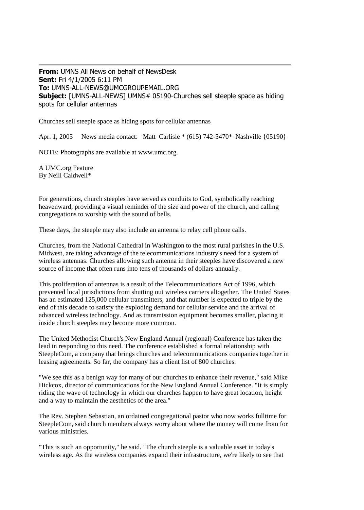**From:** UMNS All News on behalf of NewsDesk **Sent:** Fri 4/1/2005 6:11 PM **To:** UMNS-ALL-NEWS@UMCGROUPEMAIL.ORG **Subject:** [UMNS-ALL-NEWS] UMNS# 05190-Churches sell steeple space as hiding spots for cellular antennas

Churches sell steeple space as hiding spots for cellular antennas

Apr. 1, 2005 News media contact: Matt Carlisle \* (615) 742-5470\* Nashville {05190}

NOTE: Photographs are available at www.umc.org.

A UMC.org Feature By Neill Caldwell\*

For generations, church steeples have served as conduits to God, symbolically reaching heavenward, providing a visual reminder of the size and power of the church, and calling congregations to worship with the sound of bells.

These days, the steeple may also include an antenna to relay cell phone calls.

Churches, from the National Cathedral in Washington to the most rural parishes in the U.S. Midwest, are taking advantage of the telecommunications industry's need for a system of wireless antennas. Churches allowing such antenna in their steeples have discovered a new source of income that often runs into tens of thousands of dollars annually.

This proliferation of antennas is a result of the Telecommunications Act of 1996, which prevented local jurisdictions from shutting out wireless carriers altogether. The United States has an estimated 125,000 cellular transmitters, and that number is expected to triple by the end of this decade to satisfy the exploding demand for cellular service and the arrival of advanced wireless technology. And as transmission equipment becomes smaller, placing it inside church steeples may become more common.

The United Methodist Church's New England Annual (regional) Conference has taken the lead in responding to this need. The conference established a formal relationship with SteepleCom, a company that brings churches and telecommunications companies together in leasing agreements. So far, the company has a client list of 800 churches.

"We see this as a benign way for many of our churches to enhance their revenue," said Mike Hickcox, director of communications for the New England Annual Conference. "It is simply riding the wave of technology in which our churches happen to have great location, height and a way to maintain the aesthetics of the area."

The Rev. Stephen Sebastian, an ordained congregational pastor who now works fulltime for SteepleCom, said church members always worry about where the money will come from for various ministries.

"This is such an opportunity," he said. "The church steeple is a valuable asset in today's wireless age. As the wireless companies expand their infrastructure, we're likely to see that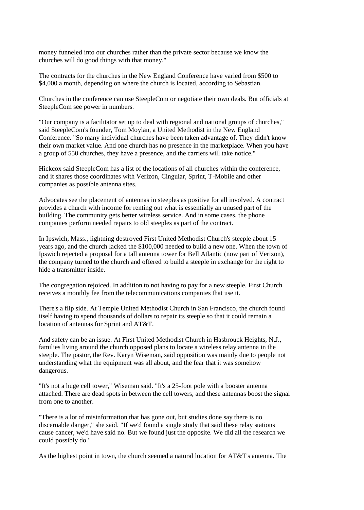money funneled into our churches rather than the private sector because we know the churches will do good things with that money."

The contracts for the churches in the New England Conference have varied from \$500 to \$4,000 a month, depending on where the church is located, according to Sebastian.

Churches in the conference can use SteepleCom or negotiate their own deals. But officials at SteepleCom see power in numbers.

"Our company is a facilitator set up to deal with regional and national groups of churches," said SteepleCom's founder, Tom Moylan, a United Methodist in the New England Conference. "So many individual churches have been taken advantage of. They didn't know their own market value. And one church has no presence in the marketplace. When you have a group of 550 churches, they have a presence, and the carriers will take notice."

Hickcox said SteepleCom has a list of the locations of all churches within the conference, and it shares those coordinates with Verizon, Cingular, Sprint, T-Mobile and other companies as possible antenna sites.

Advocates see the placement of antennas in steeples as positive for all involved. A contract provides a church with income for renting out what is essentially an unused part of the building. The community gets better wireless service. And in some cases, the phone companies perform needed repairs to old steeples as part of the contract.

In Ipswich, Mass., lightning destroyed First United Methodist Church's steeple about 15 years ago, and the church lacked the \$100,000 needed to build a new one. When the town of Ipswich rejected a proposal for a tall antenna tower for Bell Atlantic (now part of Verizon), the company turned to the church and offered to build a steeple in exchange for the right to hide a transmitter inside.

The congregation rejoiced. In addition to not having to pay for a new steeple, First Church receives a monthly fee from the telecommunications companies that use it.

There's a flip side. At Temple United Methodist Church in San Francisco, the church found itself having to spend thousands of dollars to repair its steeple so that it could remain a location of antennas for Sprint and AT&T.

And safety can be an issue. At First United Methodist Church in Hasbrouck Heights, N.J., families living around the church opposed plans to locate a wireless relay antenna in the steeple. The pastor, the Rev. Karyn Wiseman, said opposition was mainly due to people not understanding what the equipment was all about, and the fear that it was somehow dangerous.

"It's not a huge cell tower," Wiseman said. "It's a 25-foot pole with a booster antenna attached. There are dead spots in between the cell towers, and these antennas boost the signal from one to another.

"There is a lot of misinformation that has gone out, but studies done say there is no discernable danger," she said. "If we'd found a single study that said these relay stations cause cancer, we'd have said no. But we found just the opposite. We did all the research we could possibly do."

As the highest point in town, the church seemed a natural location for AT&T's antenna. The